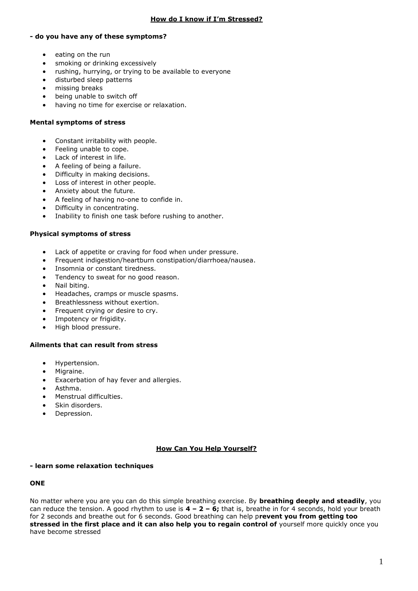### **How do I know if I'm Stressed?**

#### **- do you have any of these symptoms?**

- eating on the run
- smoking or drinking excessively
- rushing, hurrying, or trying to be available to everyone
- disturbed sleep patterns
- missing breaks
- being unable to switch off
- having no time for exercise or relaxation.

#### **Mental symptoms of stress**

- Constant irritability with people.
- Feeling unable to cope.
- Lack of interest in life.
- A feeling of being a failure.
- Difficulty in making decisions.
- Loss of interest in other people.
- Anxiety about the future.
- A feeling of having no-one to confide in.
- Difficulty in concentrating.
- Inability to finish one task before rushing to another.

#### **Physical symptoms of stress**

- Lack of appetite or craving for food when under pressure.
- Frequent indigestion/heartburn constipation/diarrhoea/nausea.
- Insomnia or constant tiredness.
- Tendency to sweat for no good reason.
- Nail biting.
- Headaches, cramps or muscle spasms.
- Breathlessness without exertion.
- Frequent crying or desire to cry.
- Impotency or frigidity.
- High blood pressure.

#### **Ailments that can result from stress**

- Hypertension.
- Migraine.
- Exacerbation of hay fever and allergies.
- Asthma.
- Menstrual difficulties.
- Skin disorders.
- Depression.

### **How Can You Help Yourself?**

#### **- learn some relaxation techniques**

#### **ONE**

No matter where you are you can do this simple breathing exercise. By **breathing deeply and steadily**, you can reduce the tension. A good rhythm to use is **4 – 2 – 6;** that is, breathe in for 4 seconds, hold your breath for 2 seconds and breathe out for 6 seconds. Good breathing can help p**revent you from getting too stressed in the first place and it can also help you to regain control of** yourself more quickly once you have become stressed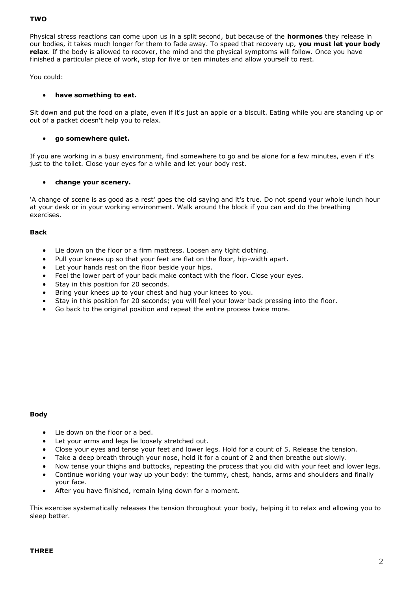#### **TWO**

Physical stress reactions can come upon us in a split second, but because of the **hormones** they release in our bodies, it takes much longer for them to fade away. To speed that recovery up, **you must let your body relax**. If the body is allowed to recover, the mind and the physical symptoms will follow. Once you have finished a particular piece of work, stop for five or ten minutes and allow yourself to rest.

You could:

#### **have something to eat.**

Sit down and put the food on a plate, even if it's just an apple or a biscuit. Eating while you are standing up or out of a packet doesn't help you to relax.

#### **go somewhere quiet.**

If you are working in a busy environment, find somewhere to go and be alone for a few minutes, even if it's just to the toilet. Close your eyes for a while and let your body rest.

#### **change your scenery.**

'A change of scene is as good as a rest' goes the old saying and it's true. Do not spend your whole lunch hour at your desk or in your working environment. Walk around the block if you can and do the breathing exercises.

#### **Back**

- Lie down on the floor or a firm mattress. Loosen any tight clothing.
- Pull your knees up so that your feet are flat on the floor, hip-width apart.
- Let your hands rest on the floor beside your hips.
- Feel the lower part of your back make contact with the floor. Close your eyes.
- Stay in this position for 20 seconds.
- Bring your knees up to your chest and hug your knees to you.
- Stay in this position for 20 seconds; you will feel your lower back pressing into the floor.
- Go back to the original position and repeat the entire process twice more.

#### **Body**

- Lie down on the floor or a bed.
- Let your arms and legs lie loosely stretched out.
- Close your eyes and tense your feet and lower legs. Hold for a count of 5. Release the tension.
- Take a deep breath through your nose, hold it for a count of 2 and then breathe out slowly.
- Now tense your thighs and buttocks, repeating the process that you did with your feet and lower legs.
- Continue working your way up your body: the tummy, chest, hands, arms and shoulders and finally your face.
- After you have finished, remain lying down for a moment.

This exercise systematically releases the tension throughout your body, helping it to relax and allowing you to sleep better.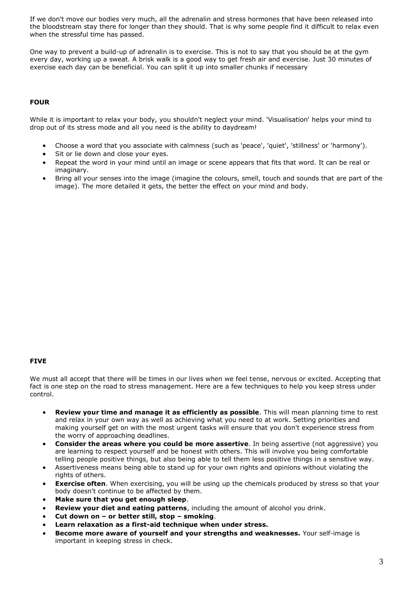If we don't move our bodies very much, all the adrenalin and stress hormones that have been released into the bloodstream stay there for longer than they should. That is why some people find it difficult to relax even when the stressful time has passed.

One way to prevent a build-up of adrenalin is to exercise. This is not to say that you should be at the gym every day, working up a sweat. A brisk walk is a good way to get fresh air and exercise. Just 30 minutes of exercise each day can be beneficial. You can split it up into smaller chunks if necessary

### **FOUR**

While it is important to relax your body, you shouldn't neglect your mind. 'Visualisation' helps your mind to drop out of its stress mode and all you need is the ability to daydream!

- Choose a word that you associate with calmness (such as 'peace', 'quiet', 'stillness' or 'harmony').
- Sit or lie down and close your eyes.
- Repeat the word in your mind until an image or scene appears that fits that word. It can be real or imaginary.
- Bring all your senses into the image (imagine the colours, smell, touch and sounds that are part of the image). The more detailed it gets, the better the effect on your mind and body.

#### **FIVE**

We must all accept that there will be times in our lives when we feel tense, nervous or excited. Accepting that fact is one step on the road to stress management. Here are a few techniques to help you keep stress under control.

- **Review your time and manage it as efficiently as possible**. This will mean planning time to rest and relax in your own way as well as achieving what you need to at work. Setting priorities and making yourself get on with the most urgent tasks will ensure that you don't experience stress from the worry of approaching deadlines.
- **Consider the areas where you could be more assertive**. In being assertive (not aggressive) you are learning to respect yourself and be honest with others. This will involve you being comfortable telling people positive things, but also being able to tell them less positive things in a sensitive way.
- Assertiveness means being able to stand up for your own rights and opinions without violating the rights of others.
- **Exercise often**. When exercising, you will be using up the chemicals produced by stress so that your body doesn't continue to be affected by them.
- **Make sure that you get enough sleep**.
- **Review your diet and eating patterns**, including the amount of alcohol you drink.
- **Cut down on – or better still, stop – smoking**.
- **Learn relaxation as a first-aid technique when under stress.**
- **Become more aware of yourself and your strengths and weaknesses.** Your self-image is important in keeping stress in check.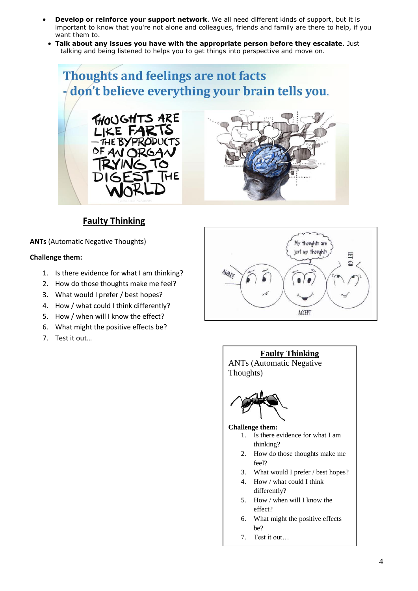- **Develop or reinforce your support network**. We all need different kinds of support, but it is important to know that you're not alone and colleagues, friends and family are there to help, if you want them to.
- **Talk about any issues you have with the appropriate person before they escalate**. Just talking and being listened to helps you to get things into perspective and move on.



# **Faulty Thinking**

**ANTs** (Automatic Negative Thoughts)

# **Challenge them:**

- 1. Is there evidence for what I am thinking?
- 2. How do those thoughts make me feel?
- 3. What would I prefer / best hopes?
- 4. How / what could I think differently?
- 5. How / when will I know the effect?
- 6. What might the positive effects be?
- 7. Test it out…